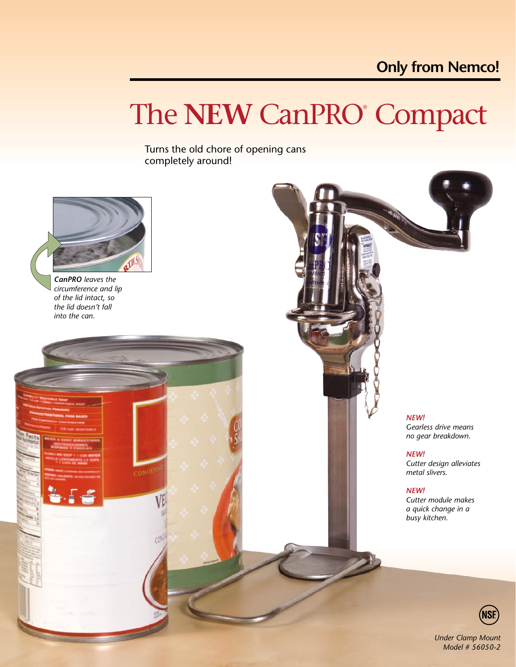# The **NEW** CanPRO® Compact

Turns the old chore of opening cans completely around!



*CanPRO leaves the circumference and lip of the lid intact, so the lid doesn't fall into the can.*

> *NEW! Gearless drive means no gear breakdown.*

*NEW! Cutter design alleviates metal slivers.*

*NEW!*

*Cutter module makes a quick change in a busy kitchen.*



*Under Clamp Mount Model # 56050-2*